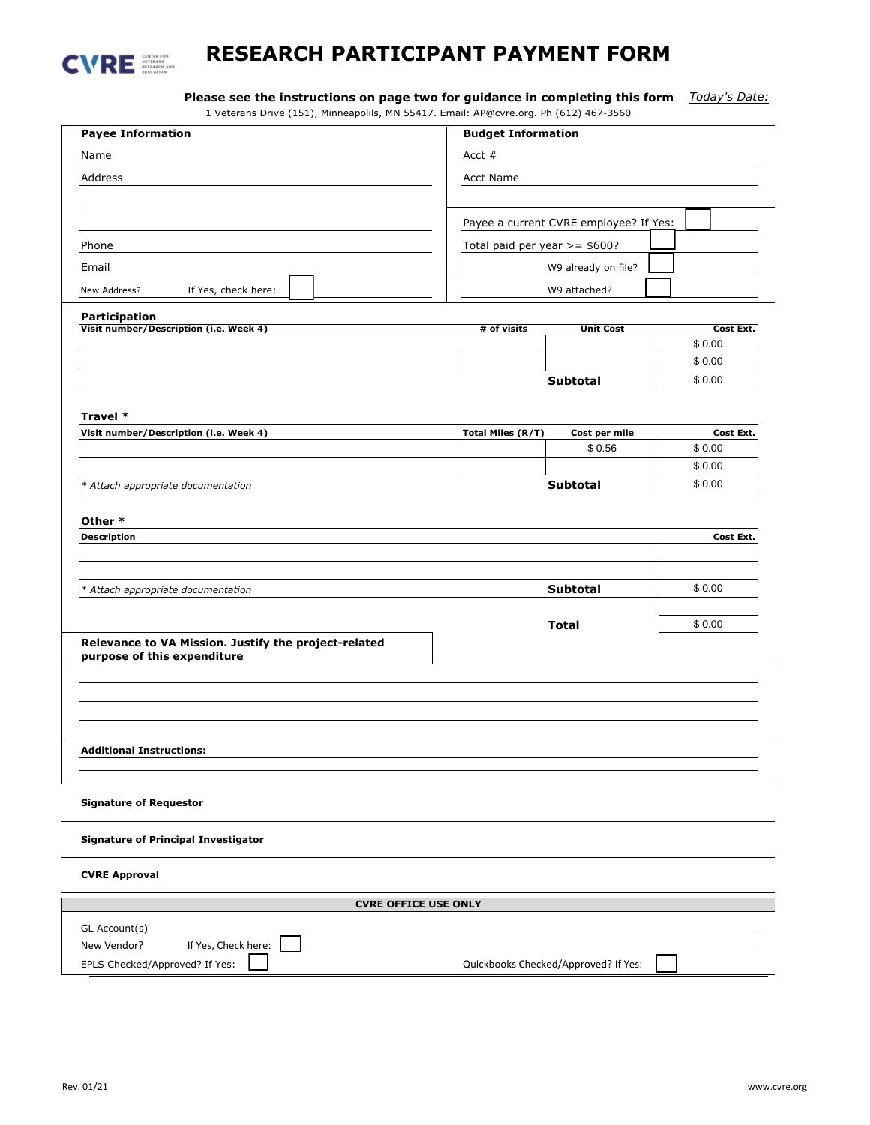

## **RESEARCH PARTICIPANT PAYMENT FORM**

**Please see the instructions on page two for guidance in completing this form** *Today's Date:*

| <b>Payee Information</b>                                               | 1 Veterans Drive (151), Minneapolils, MN 55417. Email: AP@cvre.org. Ph (612) 467-3560 |                                        |           |
|------------------------------------------------------------------------|---------------------------------------------------------------------------------------|----------------------------------------|-----------|
|                                                                        | <b>Budget Information</b>                                                             |                                        |           |
| Name                                                                   | Acct $#$                                                                              |                                        |           |
| Address                                                                | <b>Acct Name</b>                                                                      |                                        |           |
|                                                                        |                                                                                       |                                        |           |
|                                                                        |                                                                                       | Payee a current CVRE employee? If Yes: |           |
| Phone                                                                  | Total paid per year $>=$ \$600?                                                       |                                        |           |
| Email                                                                  | W9 already on file?                                                                   |                                        |           |
| If Yes, check here:                                                    | W9 attached?                                                                          |                                        |           |
| New Address?                                                           |                                                                                       |                                        |           |
| <b>Participation</b><br>Visit number/Description (i.e. Week 4)         | # of visits                                                                           | <b>Unit Cost</b>                       | Cost Ext. |
|                                                                        |                                                                                       |                                        | \$0.00    |
|                                                                        |                                                                                       |                                        | \$0.00    |
|                                                                        |                                                                                       | Subtotal                               | \$0.00    |
|                                                                        |                                                                                       |                                        |           |
| Travel *                                                               |                                                                                       |                                        |           |
| Visit number/Description (i.e. Week 4)                                 | <b>Total Miles (R/T)</b>                                                              | Cost per mile                          | Cost Ext. |
|                                                                        |                                                                                       | \$0.56                                 | \$0.00    |
|                                                                        |                                                                                       |                                        | \$0.00    |
| * Attach appropriate documentation                                     |                                                                                       | <b>Subtotal</b>                        | \$0.00    |
|                                                                        |                                                                                       |                                        |           |
| Other *                                                                |                                                                                       |                                        |           |
| <b>Description</b>                                                     |                                                                                       |                                        | Cost Ext. |
|                                                                        |                                                                                       |                                        |           |
|                                                                        |                                                                                       | <b>Subtotal</b>                        | \$0.00    |
| * Attach appropriate documentation                                     |                                                                                       |                                        |           |
|                                                                        |                                                                                       | Total                                  | \$0.00    |
| Relevance to VA Mission. Justify the project-related                   |                                                                                       |                                        |           |
| purpose of this expenditure                                            |                                                                                       |                                        |           |
|                                                                        |                                                                                       |                                        |           |
|                                                                        |                                                                                       |                                        |           |
|                                                                        |                                                                                       |                                        |           |
|                                                                        |                                                                                       |                                        |           |
| <b>Additional Instructions:</b>                                        |                                                                                       |                                        |           |
|                                                                        |                                                                                       |                                        |           |
|                                                                        |                                                                                       |                                        |           |
| <b>Signature of Requestor</b>                                          |                                                                                       |                                        |           |
|                                                                        |                                                                                       |                                        |           |
| <b>Signature of Principal Investigator</b>                             |                                                                                       |                                        |           |
| <b>CVRE Approval</b>                                                   |                                                                                       |                                        |           |
| <b>CVRE OFFICE USE ONLY</b>                                            |                                                                                       |                                        |           |
| GL Account(s)                                                          |                                                                                       |                                        |           |
| New Vendor?<br>If Yes, Check here:                                     |                                                                                       |                                        |           |
|                                                                        |                                                                                       |                                        |           |
| EPLS Checked/Approved? If Yes:<br>Quickbooks Checked/Approved? If Yes: |                                                                                       |                                        |           |